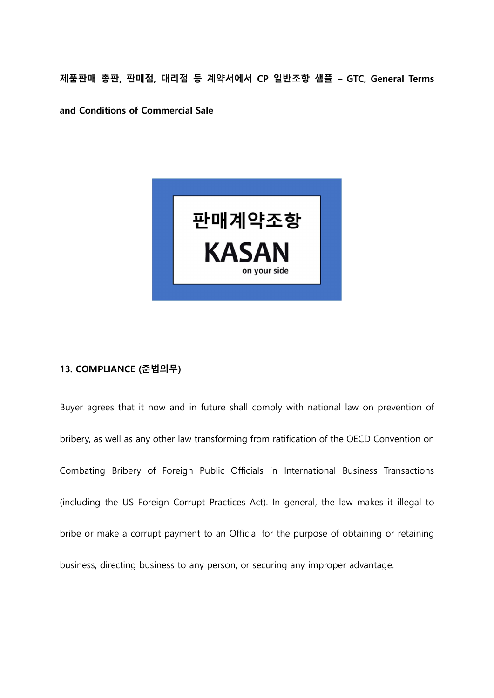제품판매 총판, 판매점, 대리점 등 계약서에서 CP 일반조항 샘플 – GTC, General Terms

and Conditions of Commercial Sale



## 13. COMPLIANCE (준법의무)

Buyer agrees that it now and in future shall comply with national law on prevention of bribery, as well as any other law transforming from ratification of the OECD Convention on Combating Bribery of Foreign Public Officials in International Business Transactions (including the US Foreign Corrupt Practices Act). In general, the law makes it illegal to bribe or make a corrupt payment to an Official for the purpose of obtaining or retaining business, directing business to any person, or securing any improper advantage.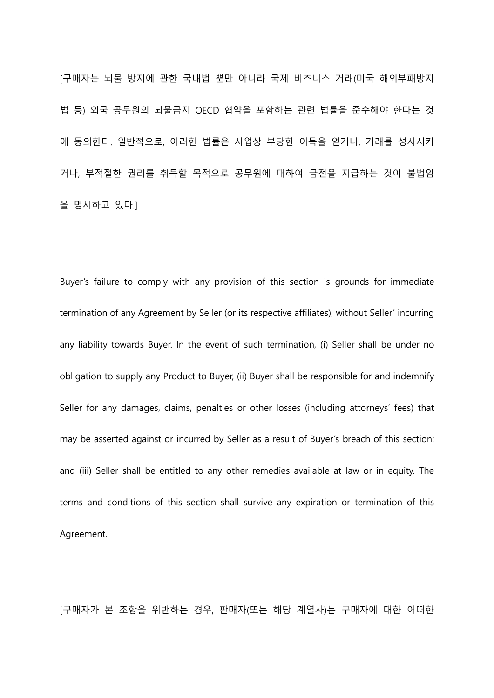[구매자는 뇌물 방지에 관한 국내법 뿐만 아니라 국제 비즈니스 거래(미국 해외부패방지 법 등) 외국 공무원의 뇌물금지 OECD 협약을 포함하는 관련 법률을 준수해야 한다는 것 에 동의한다. 일반적으로, 이러한 법률은 사업상 부당한 이득을 얻거나, 거래를 성사시키 거나, 부적절한 권리를 취득할 목적으로 공무원에 대하여 금전을 지급하는 것이 불법임 을 명시하고 있다.]

Buyer's failure to comply with any provision of this section is grounds for immediate termination of any Agreement by Seller (or its respective affiliates), without Seller' incurring any liability towards Buyer. In the event of such termination, (i) Seller shall be under no obligation to supply any Product to Buyer, (ii) Buyer shall be responsible for and indemnify Seller for any damages, claims, penalties or other losses (including attorneys' fees) that may be asserted against or incurred by Seller as a result of Buyer's breach of this section; and (iii) Seller shall be entitled to any other remedies available at law or in equity. The terms and conditions of this section shall survive any expiration or termination of this Agreement.

[구매자가 본 조항을 위반하는 경우, 판매자(또는 해당 계열사)는 구매자에 대한 어떠한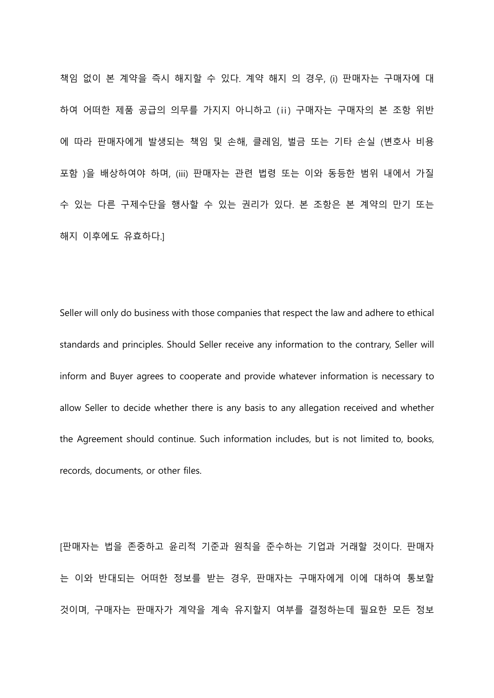책임 없이 본 계약을 즉시 해지할 수 있다. 계약 해지 의 경우, (i) 판매자는 구매자에 대 하여 어떠한 제품 공급의 의무를 가지지 아니하고 (ⅱ) 구매자는 구매자의 본 조항 위반 에 따라 판매자에게 발생되는 책임 및 손해, 클레임, 벌금 또는 기타 손실 (변호사 비용 포함 )을 배상하여야 하며, (iii) 판매자는 관련 법령 또는 이와 동등한 범위 내에서 가질 수 있는 다른 구제수단을 행사할 수 있는 권리가 있다. 본 조항은 본 계약의 만기 또는 해지 이후에도 유효하다.]

Seller will only do business with those companies that respect the law and adhere to ethical standards and principles. Should Seller receive any information to the contrary, Seller will inform and Buyer agrees to cooperate and provide whatever information is necessary to allow Seller to decide whether there is any basis to any allegation received and whether the Agreement should continue. Such information includes, but is not limited to, books, records, documents, or other files.

[판매자는 법을 존중하고 윤리적 기준과 원칙을 준수하는 기업과 거래할 것이다. 판매자 는 이와 반대되는 어떠한 정보를 받는 경우, 판매자는 구매자에게 이에 대하여 통보할 것이며, 구매자는 판매자가 계약을 계속 유지할지 여부를 결정하는데 필요한 모든 정보